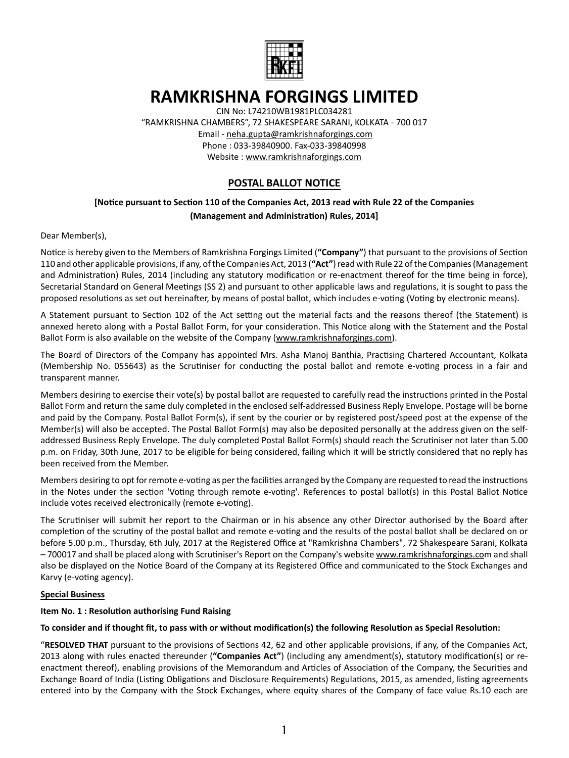

# **RAMKRISHNA FORGINGS LIMITED**

CIN No: L74210WB1981PLC034281

"RAMKRISHNA CHAMBERS", 72 SHAKESPEARE SARANI, KOLKATA - 700 017 Email - neha.gupta@ramkrishnaforgings.com Phone : 033-39840900. Fax-033-39840998 Website : www.ramkrishnaforgings.com

## **POSTAL BALLOT NOTICE**

### **[NoƟce pursuant to SecƟon 110 of the Companies Act, 2013 read with Rule 22 of the Companies (Management and AdministraƟon) Rules, 2014]**

#### Dear Member(s),

Notice is hereby given to the Members of Ramkrishna Forgings Limited ("Company") that pursuant to the provisions of Section 110 and other applicable provisions, if any, of the Companies Act, 2013 (**"Act"**) read with Rule 22 of the Companies (Management and Administration) Rules, 2014 (including any statutory modification or re-enactment thereof for the time being in force), Secretarial Standard on General Meetings (SS 2) and pursuant to other applicable laws and regulations, it is sought to pass the proposed resolutions as set out hereinafter, by means of postal ballot, which includes e-voting (Voting by electronic means).

A Statement pursuant to Section 102 of the Act setting out the material facts and the reasons thereof (the Statement) is annexed hereto along with a Postal Ballot Form, for your consideration. This Notice along with the Statement and the Postal Ballot Form is also available on the website of the Company (www.ramkrishnaforgings.com).

The Board of Directors of the Company has appointed Mrs. Asha Manoj Banthia, Practising Chartered Accountant, Kolkata (Membership No. 055643) as the Scrutiniser for conducting the postal ballot and remote e-voting process in a fair and transparent manner.

Members desiring to exercise their vote(s) by postal ballot are requested to carefully read the instructions printed in the Postal Ballot Form and return the same duly completed in the enclosed self-addressed Business Reply Envelope. Postage will be borne and paid by the Company. Postal Ballot Form(s), if sent by the courier or by registered post/speed post at the expense of the Member(s) will also be accepted. The Postal Ballot Form(s) may also be deposited personally at the address given on the selfaddressed Business Reply Envelope. The duly completed Postal Ballot Form(s) should reach the Scrutiniser not later than 5.00 p.m. on Friday, 30th June, 2017 to be eligible for being considered, failing which it will be strictly considered that no reply has been received from the Member.

Members desiring to opt for remote e-voting as per the facilities arranged by the Company are requested to read the instructions in the Notes under the section 'Voting through remote e-voting'. References to postal ballot(s) in this Postal Ballot Notice include votes received electronically (remote e-voting).

The Scrutiniser will submit her report to the Chairman or in his absence any other Director authorised by the Board after completion of the scrutiny of the postal ballot and remote e-voting and the results of the postal ballot shall be declared on or before 5.00 p.m., Thursday, 6th July, 2017 at the Registered Office at "Ramkrishna Chambers", 72 Shakespeare Sarani, Kolkata - 700017 and shall be placed along with Scrutiniser's Report on the Company's website www.ramkrishnaforgings.com and shall also be displayed on the Notice Board of the Company at its Registered Office and communicated to the Stock Exchanges and Karvy (e-voting agency).

#### **Special Business**

#### **Item No. 1 : Resolution authorising Fund Raising**

#### To consider and if thought fit, to pass with or without modification(s) the following Resolution as Special Resolution:

"RESOLVED THAT pursuant to the provisions of Sections 42, 62 and other applicable provisions, if any, of the Companies Act, 2013 along with rules enacted thereunder ("Companies Act") (including any amendment(s), statutory modification(s) or reenactment thereof), enabling provisions of the Memorandum and Articles of Association of the Company, the Securities and Exchange Board of India (Listing Obligations and Disclosure Requirements) Regulations, 2015, as amended, listing agreements entered into by the Company with the Stock Exchanges, where equity shares of the Company of face value Rs.10 each are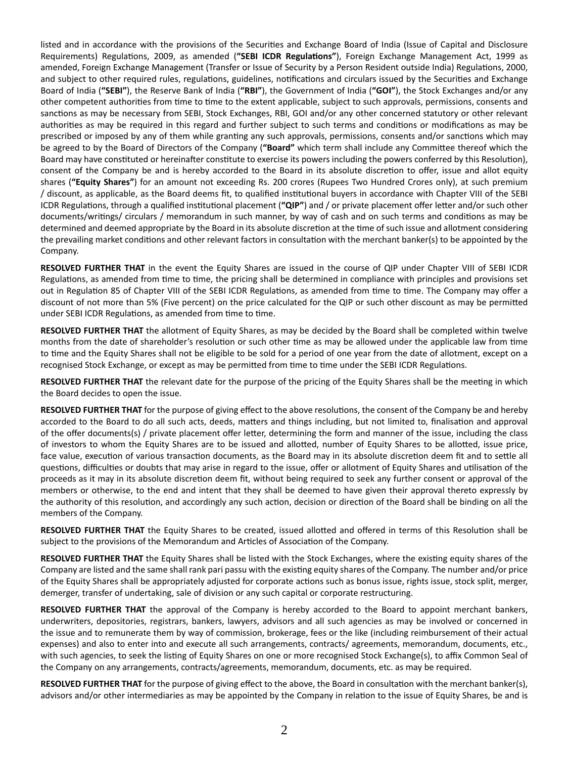listed and in accordance with the provisions of the Securities and Exchange Board of India (Issue of Capital and Disclosure Requirements) Regulations, 2009, as amended ("SEBI ICDR Regulations"), Foreign Exchange Management Act, 1999 as amended, Foreign Exchange Management (Transfer or Issue of Security by a Person Resident outside India) Regulations, 2000, and subject to other required rules, regulations, guidelines, notifications and circulars issued by the Securities and Exchange Board of India (**"SEBI"**), the Reserve Bank of India (**"RBI"**), the Government of India (**"GOI"**), the Stock Exchanges and/or any other competent authorities from time to time to the extent applicable, subject to such approvals, permissions, consents and sanctions as may be necessary from SEBI, Stock Exchanges, RBI, GOI and/or any other concerned statutory or other relevant authorities as may be required in this regard and further subject to such terms and conditions or modifications as may be prescribed or imposed by any of them while granting any such approvals, permissions, consents and/or sanctions which may be agreed to by the Board of Directors of the Company ("Board" which term shall include any Committee thereof which the Board may have constituted or hereinafter constitute to exercise its powers including the powers conferred by this Resolution), consent of the Company be and is hereby accorded to the Board in its absolute discretion to offer, issue and allot equity shares (**"Equity Shares"**) for an amount not exceeding Rs. 200 crores (Rupees Two Hundred Crores only), at such premium / discount, as applicable, as the Board deems fit, to qualified institutional buyers in accordance with Chapter VIII of the SEBI ICDR Regulations, through a qualified institutional placement ("QIP") and / or private placement offer letter and/or such other documents/writings/ circulars / memorandum in such manner, by way of cash and on such terms and conditions as may be determined and deemed appropriate by the Board in its absolute discretion at the time of such issue and allotment considering the prevailing market conditions and other relevant factors in consultation with the merchant banker(s) to be appointed by the Company.

**RESOLVED FURTHER THAT** in the event the Equity Shares are issued in the course of QIP under Chapter VIII of SEBI ICDR Regulations, as amended from time to time, the pricing shall be determined in compliance with principles and provisions set out in Regulation 85 of Chapter VIII of the SEBI ICDR Regulations, as amended from time to time. The Company may offer a discount of not more than 5% (Five percent) on the price calculated for the QIP or such other discount as may be permitted under SEBI ICDR Regulations, as amended from time to time.

**RESOLVED FURTHER THAT** the allotment of Equity Shares, as may be decided by the Board shall be completed within twelve months from the date of shareholder's resolution or such other time as may be allowed under the applicable law from time to time and the Equity Shares shall not be eligible to be sold for a period of one year from the date of allotment, except on a recognised Stock Exchange, or except as may be permitted from time to time under the SEBI ICDR Regulations.

**RESOLVED FURTHER THAT** the relevant date for the purpose of the pricing of the Equity Shares shall be the meeting in which the Board decides to open the issue.

**RESOLVED FURTHER THAT** for the purpose of giving effect to the above resolutions, the consent of the Company be and hereby accorded to the Board to do all such acts, deeds, matters and things including, but not limited to, finalisation and approval of the offer documents(s) / private placement offer letter, determining the form and manner of the issue, including the class of investors to whom the Equity Shares are to be issued and allotted, number of Equity Shares to be allotted, issue price, face value, execution of various transaction documents, as the Board may in its absolute discretion deem fit and to settle all questions, difficulties or doubts that may arise in regard to the issue, offer or allotment of Equity Shares and utilisation of the proceeds as it may in its absolute discretion deem fit, without being required to seek any further consent or approval of the members or otherwise, to the end and intent that they shall be deemed to have given their approval thereto expressly by the authority of this resolution, and accordingly any such action, decision or direction of the Board shall be binding on all the members of the Company.

**RESOLVED FURTHER THAT** the Equity Shares to be created, issued allotted and offered in terms of this Resolution shall be subject to the provisions of the Memorandum and Articles of Association of the Company.

**RESOLVED FURTHER THAT** the Equity Shares shall be listed with the Stock Exchanges, where the existing equity shares of the Company are listed and the same shall rank pari passu with the existing equity shares of the Company. The number and/or price of the Equity Shares shall be appropriately adjusted for corporate actions such as bonus issue, rights issue, stock split, merger, demerger, transfer of undertaking, sale of division or any such capital or corporate restructuring.

**RESOLVED FURTHER THAT** the approval of the Company is hereby accorded to the Board to appoint merchant bankers, underwriters, depositories, registrars, bankers, lawyers, advisors and all such agencies as may be involved or concerned in the issue and to remunerate them by way of commission, brokerage, fees or the like (including reimbursement of their actual expenses) and also to enter into and execute all such arrangements, contracts/ agreements, memorandum, documents, etc., with such agencies, to seek the listing of Equity Shares on one or more recognised Stock Exchange(s), to affix Common Seal of the Company on any arrangements, contracts/agreements, memorandum, documents, etc. as may be required.

**RESOLVED FURTHER THAT** for the purpose of giving effect to the above, the Board in consultation with the merchant banker(s), advisors and/or other intermediaries as may be appointed by the Company in relation to the issue of Equity Shares, be and is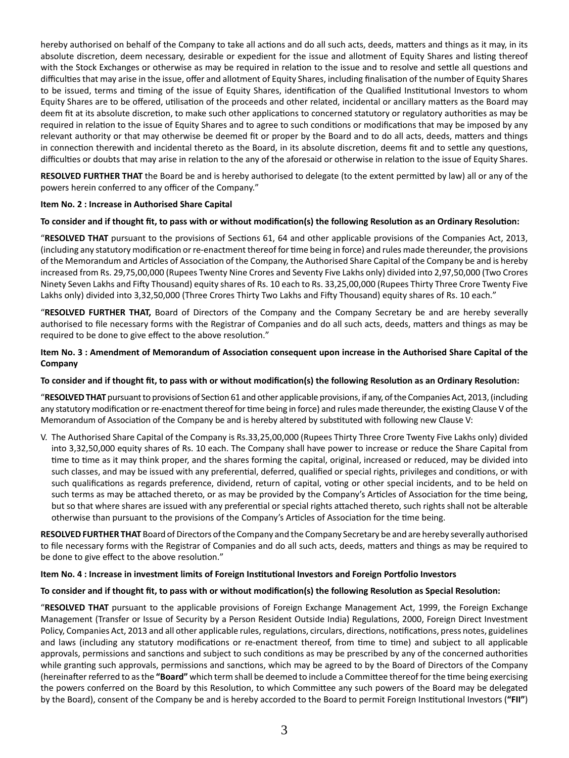hereby authorised on behalf of the Company to take all actions and do all such acts, deeds, matters and things as it may, in its absolute discretion, deem necessary, desirable or expedient for the issue and allotment of Equity Shares and listing thereof with the Stock Exchanges or otherwise as may be required in relation to the issue and to resolve and settle all questions and difficulties that may arise in the issue, offer and allotment of Equity Shares, including finalisation of the number of Equity Shares to be issued, terms and timing of the issue of Equity Shares, identification of the Qualified Institutional Investors to whom Equity Shares are to be offered, utilisation of the proceeds and other related, incidental or ancillary matters as the Board may deem fit at its absolute discretion, to make such other applications to concerned statutory or regulatory authorities as may be required in relation to the issue of Equity Shares and to agree to such conditions or modifications that may be imposed by any relevant authority or that may otherwise be deemed fit or proper by the Board and to do all acts, deeds, matters and things in connection therewith and incidental thereto as the Board, in its absolute discretion, deems fit and to settle any questions, difficulties or doubts that may arise in relation to the any of the aforesaid or otherwise in relation to the issue of Equity Shares.

**RESOLVED FURTHER THAT** the Board be and is hereby authorised to delegate (to the extent permitted by law) all or any of the powers herein conferred to any officer of the Company."

#### **Item No. 2 : Increase in Authorised Share Capital**

#### To consider and if thought fit, to pass with or without modification(s) the following Resolution as an Ordinary Resolution:

"RESOLVED THAT pursuant to the provisions of Sections 61, 64 and other applicable provisions of the Companies Act, 2013, (including any statutory modification or re-enactment thereof for time being in force) and rules made thereunder, the provisions of the Memorandum and Articles of Association of the Company, the Authorised Share Capital of the Company be and is hereby increased from Rs. 29,75,00,000 (Rupees Twenty Nine Crores and Seventy Five Lakhs only) divided into 2,97,50,000 (Two Crores Ninety Seven Lakhs and Fifty Thousand) equity shares of Rs. 10 each to Rs. 33,25,00,000 (Rupees Thirty Three Crore Twenty Five Lakhs only) divided into 3,32,50,000 (Three Crores Thirty Two Lakhs and Fifty Thousand) equity shares of Rs. 10 each."

"**RESOLVED FURTHER THAT,** Board of Directors of the Company and the Company Secretary be and are hereby severally authorised to file necessary forms with the Registrar of Companies and do all such acts, deeds, matters and things as may be required to be done to give effect to the above resolution."

#### **Item No. 3: Amendment of Memorandum of Association consequent upon increase in the Authorised Share Capital of the Company**

#### To consider and if thought fit, to pass with or without modification(s) the following Resolution as an Ordinary Resolution:

"RESOLVED THAT pursuant to provisions of Section 61 and other applicable provisions, if any, of the Companies Act, 2013, (including any statutory modification or re-enactment thereof for time being in force) and rules made thereunder, the existing Clause V of the Memorandum of Association of the Company be and is hereby altered by substituted with following new Clause V:

V. The Authorised Share Capital of the Company is Rs.33,25,00,000 (Rupees Thirty Three Crore Twenty Five Lakhs only) divided into 3,32,50,000 equity shares of Rs. 10 each. The Company shall have power to increase or reduce the Share Capital from time to time as it may think proper, and the shares forming the capital, original, increased or reduced, may be divided into such classes, and may be issued with any preferential, deferred, qualified or special rights, privileges and conditions, or with such qualifications as regards preference, dividend, return of capital, voting or other special incidents, and to be held on such terms as may be attached thereto, or as may be provided by the Company's Articles of Association for the time being, but so that where shares are issued with any preferential or special rights attached thereto, such rights shall not be alterable otherwise than pursuant to the provisions of the Company's Articles of Association for the time being.

**RESOLVED FURTHER THAT** Board of Directors of the Company and the Company Secretary be and are hereby severally authorised to file necessary forms with the Registrar of Companies and do all such acts, deeds, matters and things as may be required to be done to give effect to the above resolution."

#### **Item No. 4 : Increase in investment limits of Foreign InsƟtuƟonal Investors and Foreign Porƞolio Investors**

#### To consider and if thought fit, to pass with or without modification(s) the following Resolution as Special Resolution:

"**RESOLVED THAT** pursuant to the applicable provisions of Foreign Exchange Management Act, 1999, the Foreign Exchange Management (Transfer or Issue of Security by a Person Resident Outside India) Regulations, 2000, Foreign Direct Investment Policy, Companies Act, 2013 and all other applicable rules, regulations, circulars, directions, notifications, press notes, guidelines and laws (including any statutory modifications or re-enactment thereof, from time to time) and subject to all applicable approvals, permissions and sanctions and subject to such conditions as may be prescribed by any of the concerned authorities while granting such approvals, permissions and sanctions, which may be agreed to by the Board of Directors of the Company (hereinafter referred to as the "Board" which term shall be deemed to include a Committee thereof for the time being exercising the powers conferred on the Board by this Resolution, to which Committee any such powers of the Board may be delegated by the Board), consent of the Company be and is hereby accorded to the Board to permit Foreign Institutional Investors ("FII")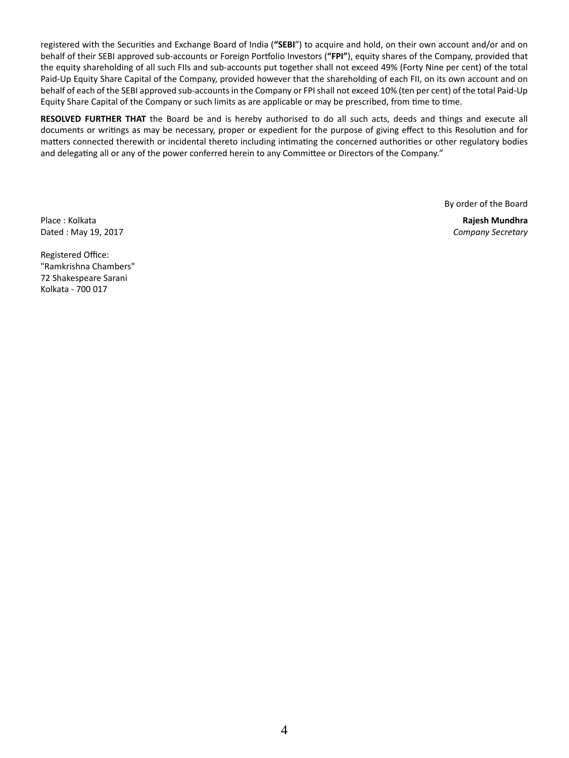registered with the Securities and Exchange Board of India ("SEBI") to acquire and hold, on their own account and/or and on behalf of their SEBI approved sub-accounts or Foreign Portfolio Investors ("FPI"), equity shares of the Company, provided that the equity shareholding of all such FIIs and sub-accounts put together shall not exceed 49% (Forty Nine per cent) of the total Paid-Up Equity Share Capital of the Company, provided however that the shareholding of each FII, on its own account and on behalf of each of the SEBI approved sub-accounts in the Company or FPI shall not exceed 10% (ten per cent) of the total Paid-Up Equity Share Capital of the Company or such limits as are applicable or may be prescribed, from time to time.

**RESOLVED FURTHER THAT** the Board be and is hereby authorised to do all such acts, deeds and things and execute all documents or writings as may be necessary, proper or expedient for the purpose of giving effect to this Resolution and for matters connected therewith or incidental thereto including intimating the concerned authorities or other regulatory bodies and delegating all or any of the power conferred herein to any Committee or Directors of the Company."

By order of the Board

Place : Kolkata **Rajesh Mundhra** Dated : May 19, 2017 *Company Secretary*

Registered Office: "Ramkrishna Chambers" 72 Shakespeare Sarani Kolkata - 700 017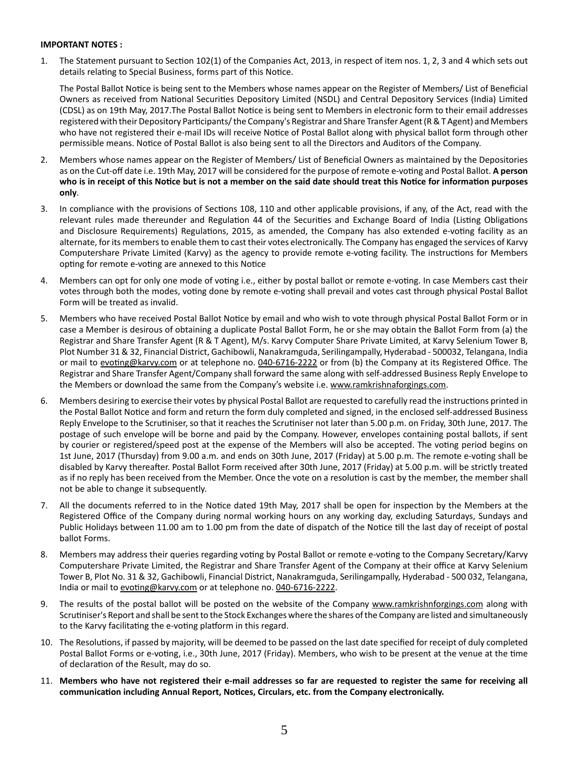#### **IMPORTANT NOTES :**

1. The Statement pursuant to Section 102(1) of the Companies Act, 2013, in respect of item nos. 1, 2, 3 and 4 which sets out details relating to Special Business, forms part of this Notice.

The Postal Ballot Notice is being sent to the Members whose names appear on the Register of Members/ List of Beneficial Owners as received from National Securities Depository Limited (NSDL) and Central Depository Services (India) Limited (CDSL) as on 19th May, 2017. The Postal Ballot Notice is being sent to Members in electronic form to their email addresses registered with their Depository Participants/ the Company's Registrar and Share Transfer Agent (R & T Agent) and Members who have not registered their e-mail IDs will receive Notice of Postal Ballot along with physical ballot form through other permissible means. Notice of Postal Ballot is also being sent to all the Directors and Auditors of the Company.

- 2. Members whose names appear on the Register of Members/ List of Beneficial Owners as maintained by the Depositories as on the Cut-off date i.e. 19th May, 2017 will be considered for the purpose of remote e-voting and Postal Ballot. A person **who is in receipt of this NoƟce but is not a member on the said date should treat this NoƟce for informaƟon purposes only**.
- 3. In compliance with the provisions of Sections 108, 110 and other applicable provisions, if any, of the Act, read with the relevant rules made thereunder and Regulation 44 of the Securities and Exchange Board of India (Listing Obligations and Disclosure Requirements) Regulations, 2015, as amended, the Company has also extended e-voting facility as an alternate, for its members to enable them to cast their votes electronically. The Company has engaged the services of Karvy Computershare Private Limited (Karvy) as the agency to provide remote e-voting facility. The instructions for Members opting for remote e-voting are annexed to this Notice
- 4. Members can opt for only one mode of voting i.e., either by postal ballot or remote e-voting. In case Members cast their votes through both the modes, voting done by remote e-voting shall prevail and votes cast through physical Postal Ballot Form will be treated as invalid.
- 5. Members who have received Postal Ballot Notice by email and who wish to vote through physical Postal Ballot Form or in case a Member is desirous of obtaining a duplicate Postal Ballot Form, he or she may obtain the Ballot Form from (a) the Registrar and Share Transfer Agent (R & T Agent), M/s. Karvy Computer Share Private Limited, at Karvy Selenium Tower B, Plot Number 31 & 32, Financial District, Gachibowli, Nanakramguda, Serilingampally, Hyderabad - 500032, Telangana, India or mail to evoting@karvy.com or at telephone no. 040-6716-2222 or from (b) the Company at its Registered Office. The Registrar and Share Transfer Agent/Company shall forward the same along with self-addressed Business Reply Envelope to the Members or download the same from the Company's website i.e. www.ramkrishnaforgings.com.
- 6. Members desiring to exercise their votes by physical Postal Ballot are requested to carefully read the instructions printed in the Postal Ballot Notice and form and return the form duly completed and signed, in the enclosed self-addressed Business Reply Envelope to the Scrutiniser, so that it reaches the Scrutiniser not later than 5.00 p.m. on Friday, 30th June, 2017. The postage of such envelope will be borne and paid by the Company. However, envelopes containing postal ballots, if sent by courier or registered/speed post at the expense of the Members will also be accepted. The voting period begins on 1st June, 2017 (Thursday) from 9.00 a.m. and ends on 30th June, 2017 (Friday) at 5.00 p.m. The remote e-voting shall be disabled by Karvy thereafter. Postal Ballot Form received after 30th June, 2017 (Friday) at 5.00 p.m. will be strictly treated as if no reply has been received from the Member. Once the vote on a resolution is cast by the member, the member shall not be able to change it subsequently.
- 7. All the documents referred to in the Notice dated 19th May, 2017 shall be open for inspection by the Members at the Registered Office of the Company during normal working hours on any working day, excluding Saturdays, Sundays and Public Holidays between 11.00 am to 1.00 pm from the date of dispatch of the Notice till the last day of receipt of postal ballot Forms.
- 8. Members may address their queries regarding voting by Postal Ballot or remote e-voting to the Company Secretary/Karvy Computershare Private Limited, the Registrar and Share Transfer Agent of the Company at their office at Karvy Selenium Tower B, Plot No. 31 & 32, Gachibowli, Financial District, Nanakramguda, Serilingampally, Hyderabad - 500 032, Telangana, India or mail to evoting@karvy.com or at telephone no. 040-6716-2222.
- 9. The results of the postal ballot will be posted on the website of the Company www.ramkrishnforgings.com along with Scrutiniser's Report and shall be sent to the Stock Exchanges where the shares of the Company are listed and simultaneously to the Karvy facilitating the e-voting platform in this regard.
- 10. The Resolutions, if passed by majority, will be deemed to be passed on the last date specified for receipt of duly completed Postal Ballot Forms or e-voting, i.e., 30th June, 2017 (Friday). Members, who wish to be present at the venue at the time of declaration of the Result, may do so.
- 11. **Members who have not registered their e-mail addresses so far are requested to register the same for receiving all communicaƟon including Annual Report, NoƟces, Circulars, etc. from the Company electronically.**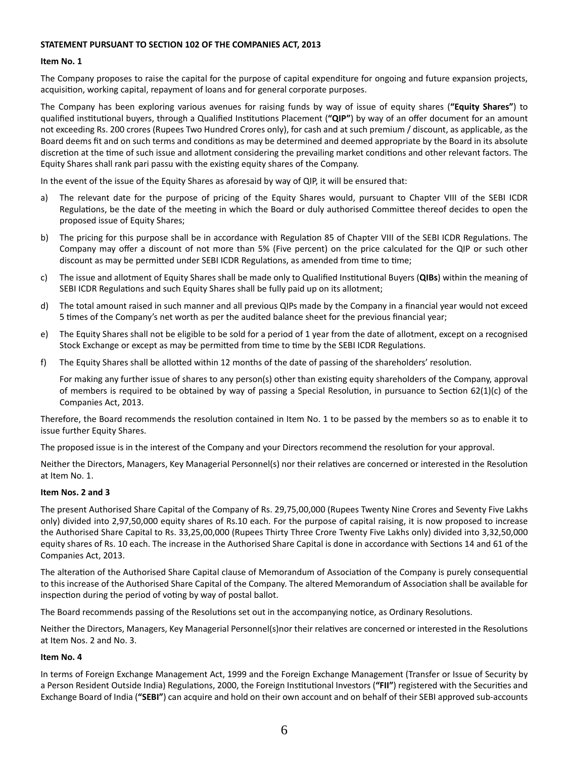#### **STATEMENT PURSUANT TO SECTION 102 OF THE COMPANIES ACT, 2013**

#### **Item No. 1**

The Company proposes to raise the capital for the purpose of capital expenditure for ongoing and future expansion projects, acquisition, working capital, repayment of loans and for general corporate purposes.

The Company has been exploring various avenues for raising funds by way of issue of equity shares (**"Equity Shares"**) to qualified institutional buyers, through a Qualified Institutions Placement ("QIP") by way of an offer document for an amount not exceeding Rs. 200 crores (Rupees Two Hundred Crores only), for cash and at such premium / discount, as applicable, as the Board deems fit and on such terms and conditions as may be determined and deemed appropriate by the Board in its absolute discretion at the time of such issue and allotment considering the prevailing market conditions and other relevant factors. The Equity Shares shall rank pari passu with the existing equity shares of the Company.

In the event of the issue of the Equity Shares as aforesaid by way of QIP, it will be ensured that:

- a) The relevant date for the purpose of pricing of the Equity Shares would, pursuant to Chapter VIII of the SEBI ICDR Regulations, be the date of the meeting in which the Board or duly authorised Committee thereof decides to open the proposed issue of Equity Shares;
- b) The pricing for this purpose shall be in accordance with Regulation 85 of Chapter VIII of the SEBI ICDR Regulations. The Company may offer a discount of not more than 5% (Five percent) on the price calculated for the QIP or such other discount as may be permitted under SEBI ICDR Regulations, as amended from time to time;
- c) The issue and allotment of Equity Shares shall be made only to Qualified Institutional Buyers (QIBs) within the meaning of SEBI ICDR Regulations and such Equity Shares shall be fully paid up on its allotment;
- d) The total amount raised in such manner and all previous QIPs made by the Company in a financial year would not exceed 5 times of the Company's net worth as per the audited balance sheet for the previous financial year;
- e) The Equity Shares shall not be eligible to be sold for a period of 1 year from the date of allotment, except on a recognised Stock Exchange or except as may be permitted from time to time by the SEBI ICDR Regulations.
- f) The Equity Shares shall be allotted within 12 months of the date of passing of the shareholders' resolution.

For making any further issue of shares to any person(s) other than existing equity shareholders of the Company, approval of members is required to be obtained by way of passing a Special Resolution, in pursuance to Section 62(1)(c) of the Companies Act, 2013.

Therefore, the Board recommends the resolution contained in Item No. 1 to be passed by the members so as to enable it to issue further Equity Shares.

The proposed issue is in the interest of the Company and your Directors recommend the resolution for your approval.

Neither the Directors, Managers, Key Managerial Personnel(s) nor their relatives are concerned or interested in the Resolution at Item No. 1.

#### **Item Nos. 2 and 3**

The present Authorised Share Capital of the Company of Rs. 29,75,00,000 (Rupees Twenty Nine Crores and Seventy Five Lakhs only) divided into 2,97,50,000 equity shares of Rs.10 each. For the purpose of capital raising, it is now proposed to increase the Authorised Share Capital to Rs. 33,25,00,000 (Rupees Thirty Three Crore Twenty Five Lakhs only) divided into 3,32,50,000 equity shares of Rs. 10 each. The increase in the Authorised Share Capital is done in accordance with Sections 14 and 61 of the Companies Act, 2013.

The alteration of the Authorised Share Capital clause of Memorandum of Association of the Company is purely consequential to this increase of the Authorised Share Capital of the Company. The altered Memorandum of Association shall be available for inspection during the period of voting by way of postal ballot.

The Board recommends passing of the Resolutions set out in the accompanying notice, as Ordinary Resolutions.

Neither the Directors, Managers, Key Managerial Personnel(s)nor their relatives are concerned or interested in the Resolutions at Item Nos. 2 and No. 3.

#### **Item No. 4**

In terms of Foreign Exchange Management Act, 1999 and the Foreign Exchange Management (Transfer or Issue of Security by a Person Resident Outside India) Regulations, 2000, the Foreign Institutional Investors ("FII") registered with the Securities and Exchange Board of India (**"SEBI"**) can acquire and hold on their own account and on behalf of their SEBI approved sub-accounts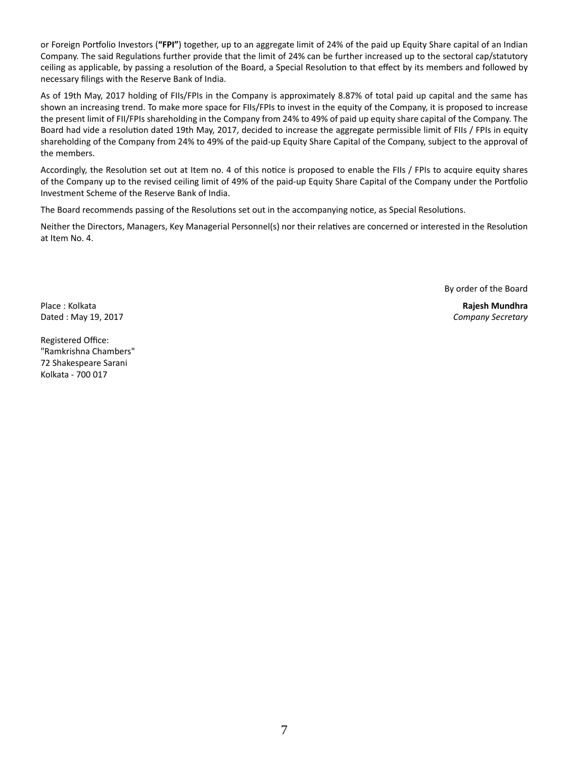or Foreign Portfolio Investors ("FPI") together, up to an aggregate limit of 24% of the paid up Equity Share capital of an Indian Company. The said Regulations further provide that the limit of 24% can be further increased up to the sectoral cap/statutory ceiling as applicable, by passing a resolution of the Board, a Special Resolution to that effect by its members and followed by necessary filings with the Reserve Bank of India.

As of 19th May, 2017 holding of FIIs/FPIs in the Company is approximately 8.87% of total paid up capital and the same has shown an increasing trend. To make more space for FIIs/FPIs to invest in the equity of the Company, it is proposed to increase the present limit of FII/FPIs shareholding in the Company from 24% to 49% of paid up equity share capital of the Company. The Board had vide a resolution dated 19th May, 2017, decided to increase the aggregate permissible limit of FIIs / FPIs in equity shareholding of the Company from 24% to 49% of the paid-up Equity Share Capital of the Company, subject to the approval of the members.

Accordingly, the Resolution set out at Item no. 4 of this notice is proposed to enable the FIIs / FPIs to acquire equity shares of the Company up to the revised ceiling limit of 49% of the paid-up Equity Share Capital of the Company under the Portfolio Investment Scheme of the Reserve Bank of India.

The Board recommends passing of the Resolutions set out in the accompanying notice, as Special Resolutions.

Neither the Directors, Managers, Key Managerial Personnel(s) nor their relatives are concerned or interested in the Resolution at Item No. 4.

By order of the Board

Place : Kolkata **Rajesh Mundhra**

Dated : May 19, 2017 *Company Secretary*

Registered Office: "Ramkrishna Chambers" 72 Shakespeare Sarani Kolkata - 700 017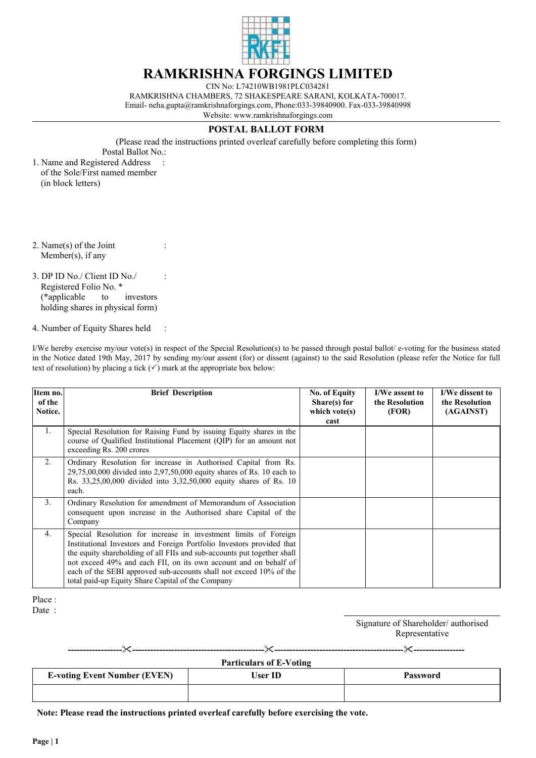

## **RAMKRISHNA FORGINGS LIMITED**

CIN No: L74210WB1981PLC034281 RAMKRISHNA CHAMBERS, 72 SHAKESPEARE SARANI, KOLKATA-700017. Email- neha.gupta@ramkrishnaforgings.com, Phone:033-39840900. Fax-033-39840998 Website: www.ramkrishnaforgings.com

## **POSTAL BALLOT FORM**

(Please read the instructions printed overleaf carefully before completing this form) Postal Ballot No.:

1. Name and Registered Address of the Sole/First named member (in block letters)

:

:

:

- 2. Name(s) of the Joint Member(s), if any
- 3. DP ID No./ Client ID No./ Registered Folio No. \* (\*applicable to investors holding shares in physical form)
- 4. Number of Equity Shares held :

I/We hereby exercise my/our vote(s) in respect of the Special Resolution(s) to be passed through postal ballot/ e-voting for the business stated in the Notice dated 19th May, 2017 by sending my/our assent (for) or dissent (against) to the said Resolution (please refer the Notice for full text of resolution) by placing a tick  $(\checkmark)$  mark at the appropriate box below:

| Item no.<br>of the<br>Notice. | <b>Brief Description</b>                                                                                                                                                                                                                                                                                                                                                                                           | No. of Equity<br>Share(s) for<br>which vote $(s)$<br>cast | I/We assent to<br>the Resolution<br>(FOR) | I/We dissent to<br>the Resolution<br>(AGAINST) |
|-------------------------------|--------------------------------------------------------------------------------------------------------------------------------------------------------------------------------------------------------------------------------------------------------------------------------------------------------------------------------------------------------------------------------------------------------------------|-----------------------------------------------------------|-------------------------------------------|------------------------------------------------|
| $1_{\cdot}$                   | Special Resolution for Raising Fund by issuing Equity shares in the<br>course of Qualified Institutional Placement (QIP) for an amount not<br>exceeding Rs. 200 crores                                                                                                                                                                                                                                             |                                                           |                                           |                                                |
| 2.                            | Ordinary Resolution for increase in Authorised Capital from Rs.<br>$29,75,00,000$ divided into $2,97,50,000$ equity shares of Rs. 10 each to<br>Rs. 33,25,00,000 divided into 3,32,50,000 equity shares of Rs. 10<br>each.                                                                                                                                                                                         |                                                           |                                           |                                                |
| 3 <sub>1</sub>                | Ordinary Resolution for amendment of Memorandum of Association<br>consequent upon increase in the Authorised share Capital of the<br>Company                                                                                                                                                                                                                                                                       |                                                           |                                           |                                                |
| 4.                            | Special Resolution for increase in investment limits of Foreign<br>Institutional Investors and Foreign Portfolio Investors provided that<br>the equity shareholding of all FIIs and sub-accounts put together shall<br>not exceed 49% and each FII, on its own account and on behalf of<br>each of the SEBI approved sub-accounts shall not exceed 10% of the<br>total paid-up Equity Share Capital of the Company |                                                           |                                           |                                                |

- Place :
- Date :

| Signature of Shareholder/authorised |  |
|-------------------------------------|--|
| Representative                      |  |

**------------------**"**--------------------------------------------**"**-------------------------------------------**"**-----------------**

**Particulars of E-Voting**

| $\frac{1}{2}$ at the diagrams of E-volting |         |          |  |  |  |  |
|--------------------------------------------|---------|----------|--|--|--|--|
| <b>E-voting Event Number (EVEN)</b>        | User ID | Password |  |  |  |  |
|                                            |         |          |  |  |  |  |

**Note: Please read the instructions printed overleaf carefully before exercising the vote.**